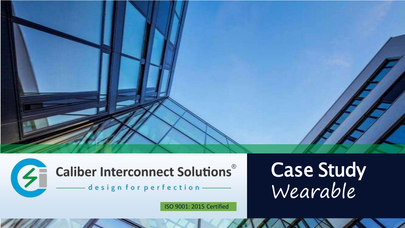



ISO 9001: 2015 Certified

# Case Study Wearable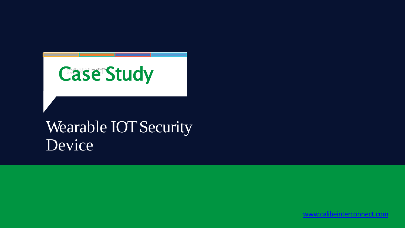# Case Study

# Wearable **IOT Security** Device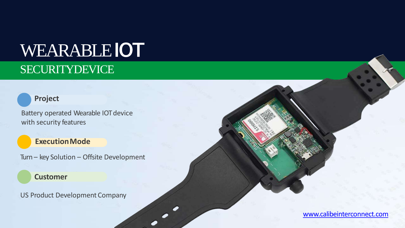# **WEARABLEIOT**

## SECURITYDEVICE

### **Project**

Battery operated Wearable IOT device with security features

### **ExecutionMode**

Turn – key Solution – Offsite Development

### **Customer**

US Product Development Company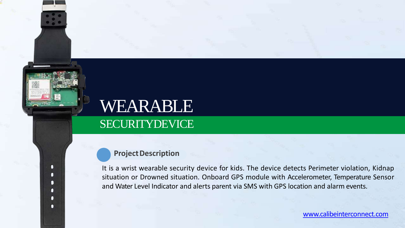# WEARABLE

### SECURITYDEVICE

### **Project Description**

n п Π n п n

It is a wrist wearable security device for kids. The device detects Perimeter violation, Kidnap situation or Drowned situation. Onboard GPS module with Accelerometer, Temperature Sensor and Water Level Indicator and alerts parent via SMS with GPS location and alarm events.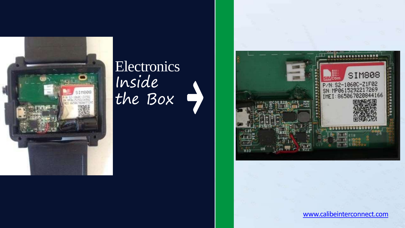

## Electronics Inside the Box

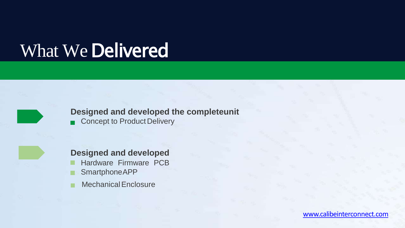# What We Delivered



### **Designed and developed the completeunit**

Concept to Product Delivery  $\blacksquare$ 



MechanicalEnclosure